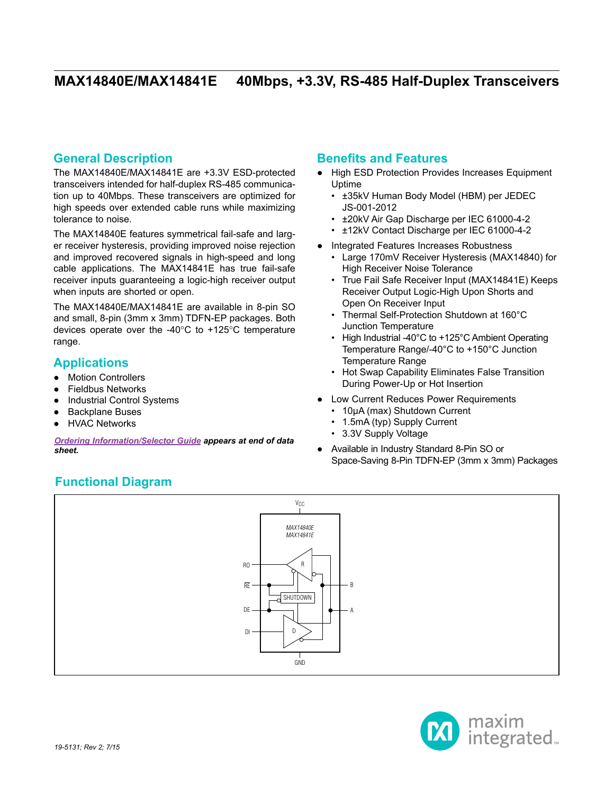## **General Description**

The MAX14840E/MAX14841E are +3.3V ESD-protected transceivers intended for half-duplex RS-485 communication up to 40Mbps. These transceivers are optimized for high speeds over extended cable runs while maximizing tolerance to noise.

The MAX14840E features symmetrical fail-safe and larger receiver hysteresis, providing improved noise rejection and improved recovered signals in high-speed and long cable applications. The MAX14841E has true fail-safe receiver inputs guaranteeing a logic-high receiver output when inputs are shorted or open.

The MAX14840E/MAX14841E are available in 8-pin SO and small, 8-pin (3mm x 3mm) TDFN-EP packages. Both devices operate over the -40 $^{\circ}$ C to +125 $^{\circ}$ C temperature range.

## **Applications**

- Motion Controllers
- **Fieldbus Networks**
- Industrial Control Systems
- **Backplane Buses**
- **HVAC Networks**

*[Ordering Information/Selector Guide](#page-14-0) appears at end of data sheet.*

## **Benefits and Features**

- High ESD Protection Provides Increases Equipment Uptime
	- ±35kV Human Body Model (HBM) per JEDEC JS-001-2012
	- ±20kV Air Gap Discharge per IEC 61000-4-2
	- ±12kV Contact Discharge per IEC 61000-4-2
- Integrated Features Increases Robustness
	- Large 170mV Receiver Hysteresis (MAX14840) for High Receiver Noise Tolerance
	- True Fail Safe Receiver Input (MAX14841E) Keeps Receiver Output Logic-High Upon Shorts and Open On Receiver Input
	- Thermal Self-Protection Shutdown at 160°C Junction Temperature
	- High Industrial -40°C to +125°C Ambient Operating Temperature Range/-40°C to +150°C Junction Temperature Range
	- Hot Swap Capability Eliminates False Transition During Power-Up or Hot Insertion
- Low Current Reduces Power Requirements
	- 10µA (max) Shutdown Current
	- 1.5mA (typ) Supply Current
	- 3.3V Supply Voltage
- Available in Industry Standard 8-Pin SO or Space-Saving 8-Pin TDFN-EP (3mm x 3mm) Packages

# **Functional Diagram**



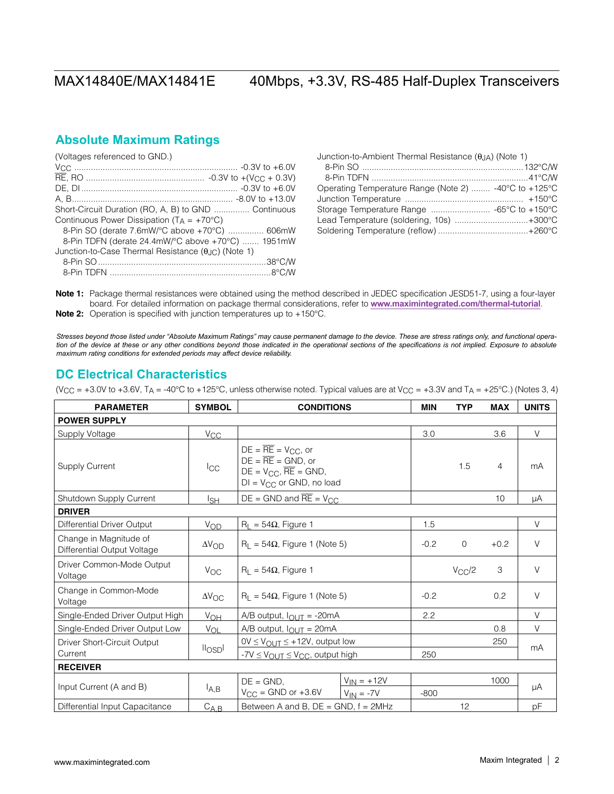## **Absolute Maximum Ratings**

| (Voltages referenced to GND.)                                       |  |
|---------------------------------------------------------------------|--|
|                                                                     |  |
|                                                                     |  |
|                                                                     |  |
|                                                                     |  |
| Short-Circuit Duration (RO, A, B) to GND  Continuous                |  |
| Continuous Power Dissipation ( $TA = +70^{\circ}C$ )                |  |
| 8-Pin SO (derate 7.6mW/°C above +70°C)  606mW                       |  |
| 8-Pin TDFN (derate 24.4mW/°C above +70°C)  1951mW                   |  |
| Junction-to-Case Thermal Resistance $(\theta_{\text{HC}})$ (Note 1) |  |
|                                                                     |  |
|                                                                     |  |
|                                                                     |  |

| Junction-to-Ambient Thermal Resistance $(\theta_{JA})$ (Note 1) |  |
|-----------------------------------------------------------------|--|
|                                                                 |  |
|                                                                 |  |
| Operating Temperature Range (Note 2)  -40°C to +125°C           |  |
|                                                                 |  |
|                                                                 |  |
| Lead Temperature (soldering, 10s) +300°C                        |  |
|                                                                 |  |

Note 1: Package thermal resistances were obtained using the method described in JEDEC specification JESD51-7, using a four-layer board. For detailed information on package thermal considerations, refer to **www.maximintegrated.com/thermal-tutorial**. Note 2: Operation is specified with junction temperatures up to +150°C.

*Stresses beyond those listed under "Absolute Maximum Ratings" may cause permanent damage to the device. These are stress ratings only, and functional opera*tion of the device at these or any other conditions beyond those indicated in the operational sections of the specifications is not implied. Exposure to absolute *maximum rating conditions for extended periods may affect device reliability.*

## **DC Electrical Characteristics**

(V<sub>CC</sub> = +3.0V to +3.6V, T<sub>A</sub> = -40°C to +125°C, unless otherwise noted. Typical values are at V<sub>CC</sub> = +3.3V and T<sub>A</sub> = +25°C.) (Notes 3, 4)

| <b>PARAMETER</b>                                      | <b>SYMBOL</b>       | <b>CONDITIONS</b>                                                                                                                      | <b>MIN</b> | <b>TYP</b>  | <b>MAX</b>     | <b>UNITS</b> |  |
|-------------------------------------------------------|---------------------|----------------------------------------------------------------------------------------------------------------------------------------|------------|-------------|----------------|--------------|--|
| <b>POWER SUPPLY</b>                                   |                     |                                                                                                                                        |            |             |                |              |  |
| Supply Voltage                                        | $V_{CC}$            |                                                                                                                                        | 3.0        |             | 3.6            | $\vee$       |  |
| <b>Supply Current</b>                                 | $I_{\rm CC}$        | $DE = \overline{RE} = V_{CC}$ , or<br>$DE = \overline{RE} = GND$ , or<br>$DE = V_{CC}$ , $RE = GND$ ,<br>$DI = V_{CC}$ or GND, no load |            | 1.5         | $\overline{4}$ | mA           |  |
| Shutdown Supply Current                               | lsн                 | $DE = GND$ and $\overline{RE} = V_{CC}$                                                                                                |            |             | 10             | μA           |  |
| <b>DRIVER</b>                                         |                     |                                                                                                                                        |            |             |                |              |  |
| Differential Driver Output                            | VOD                 | $R_L = 54\Omega$ , Figure 1                                                                                                            | 1.5        |             |                | $\vee$       |  |
| Change in Magnitude of<br>Differential Output Voltage | $\Delta V_{OD}$     | $R_1 = 54\Omega$ , Figure 1 (Note 5)                                                                                                   |            | $\mathbf 0$ | $+0.2$         | $\vee$       |  |
| Driver Common-Mode Output<br>Voltage                  | $V_{OC}$            | $R_1 = 54\Omega$ , Figure 1                                                                                                            |            | $V_{CC}/2$  | 3              | $\vee$       |  |
| Change in Common-Mode<br>Voltage                      | $\Delta V_{\rm OC}$ | $R_L = 54\Omega$ , Figure 1 (Note 5)                                                                                                   |            |             | 0.2            | $\vee$       |  |
| Single-Ended Driver Output High                       | $V_{OH}$            | A/B output, $I_{\text{OUIT}}$ = -20mA                                                                                                  |            |             |                | $\vee$       |  |
| Single-Ended Driver Output Low                        | $V_{\text{OL}}$     | A/B output, $I_{OUT} = 20mA$                                                                                                           |            |             | 0.8            | $\vee$       |  |
| Driver Short-Circuit Output                           |                     | $0V \leq V_{\text{OUT}} \leq +12V$ , output low                                                                                        |            |             | 250            | mA           |  |
| Current                                               | II <sub>OSD</sub> I | $-7V \leq V_{\text{OUT}} \leq V_{\text{CC}}$ , output high                                                                             | 250        |             |                |              |  |
| <b>RECEIVER</b>                                       |                     |                                                                                                                                        |            |             |                |              |  |
| Input Current (A and B)                               | l <sub>A,B</sub>    | $V_{IN} = +12V$<br>$DE = GND$ .<br>$V_{CC}$ = GND or +3.6V<br>$V_{IN} = -7V$                                                           | $-800$     |             | 1000           | μA           |  |
| Differential Input Capacitance                        | $C_{A,B}$           | Between A and B, $DE = GND$ , $f = 2MHz$<br>12                                                                                         |            |             |                | pF           |  |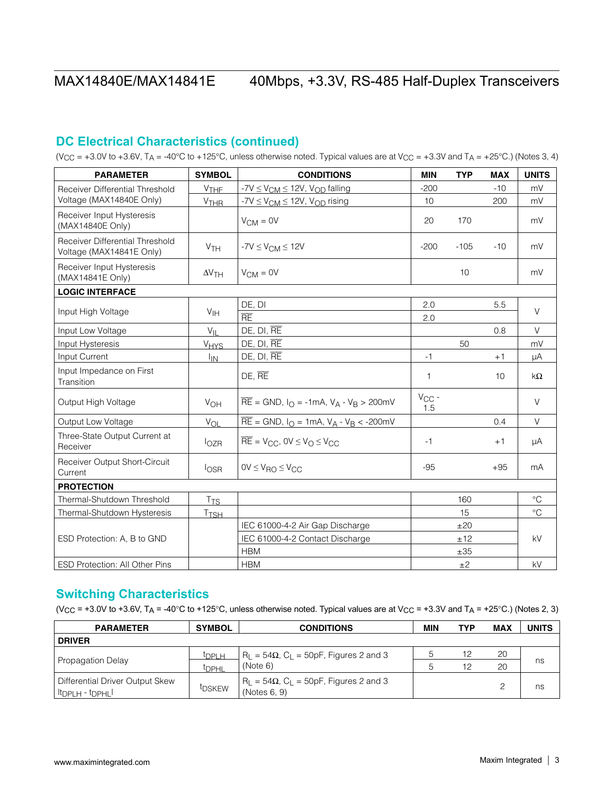## **DC Electrical Characteristics (continued)**

(VCC = +3.0V to +3.6V, TA = -40°C to +125°C, unless otherwise noted. Typical values are at VCC = +3.3V and TA = +25°C.) (Notes 3, 4)

| <b>PARAMETER</b>                                            | <b>SYMBOL</b>          | <b>CONDITIONS</b>                                                                     | <b>MIN</b>        | <b>TYP</b> | <b>MAX</b> | <b>UNITS</b> |
|-------------------------------------------------------------|------------------------|---------------------------------------------------------------------------------------|-------------------|------------|------------|--------------|
| Receiver Differential Threshold                             | $V$ THF                | $-7V \leq V_{CM} \leq 12V$ , $V_{OD}$ falling                                         | $-200$            |            | $-10$      | mV           |
| Voltage (MAX14840E Only)                                    | V <sub>THR</sub>       | $-7V \leq V_{CM} \leq 12V$ , $V_{OD}$ rising                                          | 10                |            | 200        | mV           |
| Receiver Input Hysteresis<br>(MAX14840E Only)               |                        | $V_{CM} = 0V$                                                                         | 20                | 170        |            | mV           |
| Receiver Differential Threshold<br>Voltage (MAX14841E Only) | V <sub>TH</sub>        | $-7V \leq V_{\text{CM}} \leq 12V$                                                     | $-200$            | $-105$     | $-10$      | mV           |
| Receiver Input Hysteresis<br>(MAX14841E Only)               | $\Delta V$ TH          | $V_{CM} = 0V$                                                                         |                   | 10         |            | mV           |
| <b>LOGIC INTERFACE</b>                                      |                        |                                                                                       |                   |            |            |              |
|                                                             |                        | DE, DI                                                                                | 2.0               |            | 5.5        | $\vee$       |
| Input High Voltage                                          | V <sub>IH</sub>        | RE                                                                                    | 2.0               |            |            |              |
| Input Low Voltage                                           | $V_{II}$               | DE, DI, RE                                                                            |                   |            | 0.8        | $\vee$       |
| Input Hysteresis                                            | <b>V<sub>HYS</sub></b> | DE, DI, RE                                                                            |                   | 50         |            | mV           |
| Input Current                                               | $I_{IN}$               | DE, DI, RE                                                                            | $-1$              |            | $+1$       | μA           |
| Input Impedance on First<br>Transition                      |                        | $DE, \overline{RE}$                                                                   | 1                 |            | 10         | kΩ           |
| Output High Voltage                                         | $V_{OH}$               | $\overline{RE}$ = GND, $I_{\text{O}}$ = -1mA, $V_{\text{A}}$ - $V_{\text{B}}$ > 200mV | $V_{CC}$ -<br>1.5 |            |            | $\vee$       |
| Output Low Voltage                                          | $V_{OL}$               | $\overline{RE}$ = GND, I <sub>O</sub> = 1mA, V <sub>A</sub> - V <sub>B</sub> < -200mV |                   |            | 0.4        | $\vee$       |
| Three-State Output Current at<br>Receiver                   | $I_{OZR}$              | $\overline{RE}$ = V <sub>CC</sub> , OV $\leq$ V <sub>O</sub> $\leq$ V <sub>CC</sub>   | $-1$              |            | $+1$       | μA           |
| Receiver Output Short-Circuit<br>Current                    | $I_{\text{OSR}}$       | $OV \leq V_{RO} \leq V_{CC}$                                                          | $-95$             |            | $+95$      | mA           |
| <b>PROTECTION</b>                                           |                        |                                                                                       |                   |            |            |              |
| Thermal-Shutdown Threshold                                  | $T_{TS}$               |                                                                                       |                   | 160        |            | $^{\circ}$ C |
| Thermal-Shutdown Hysteresis                                 | T <sub>ISH</sub>       |                                                                                       |                   | 15         |            | $^{\circ}C$  |
|                                                             |                        | IEC 61000-4-2 Air Gap Discharge                                                       |                   | ±20        |            |              |
| ESD Protection: A, B to GND                                 |                        | IEC 61000-4-2 Contact Discharge                                                       | ±12               |            |            | kV           |
|                                                             |                        | <b>HBM</b>                                                                            |                   | ±35        |            |              |
| <b>ESD Protection: All Other Pins</b>                       |                        | <b>HBM</b>                                                                            |                   | ±2         |            | kV           |

## **Switching Characteristics**

(V<sub>CC</sub> = +3.0V to +3.6V, T<sub>A</sub> = -40°C to +125°C, unless otherwise noted. Typical values are at V<sub>CC</sub> = +3.3V and T<sub>A</sub> = +25°C.) (Notes 2, 3)

| <b>PARAMETER</b>                                                             | <b>SYMBOL</b>      | <b>CONDITIONS</b>                                                 | <b>MIN</b> | <b>TYP</b> | <b>MAX</b> | <b>UNITS</b> |
|------------------------------------------------------------------------------|--------------------|-------------------------------------------------------------------|------------|------------|------------|--------------|
| <b>DRIVER</b>                                                                |                    |                                                                   |            |            |            |              |
|                                                                              | <sup>t</sup> DPLH  | $R_1 = 54\Omega$ , C <sub>1</sub> = 50pF, Figures 2 and 3         | 5.         | 12         | 20         |              |
| <b>Propagation Delay</b>                                                     | <sup>І</sup> ПРНІ  | (Note 6)                                                          | 'n.        | 12         | 20         | ns           |
| Differential Driver Output Skew<br>$ t_{\text{DPLH}} \cdot t_{\text{DPHL}} $ | <sup>t</sup> DSKEW | $R_1 = 54\Omega$ , $C_1 = 50pF$ , Figures 2 and 3<br>(Notes 6, 9) |            |            | っ          | ns           |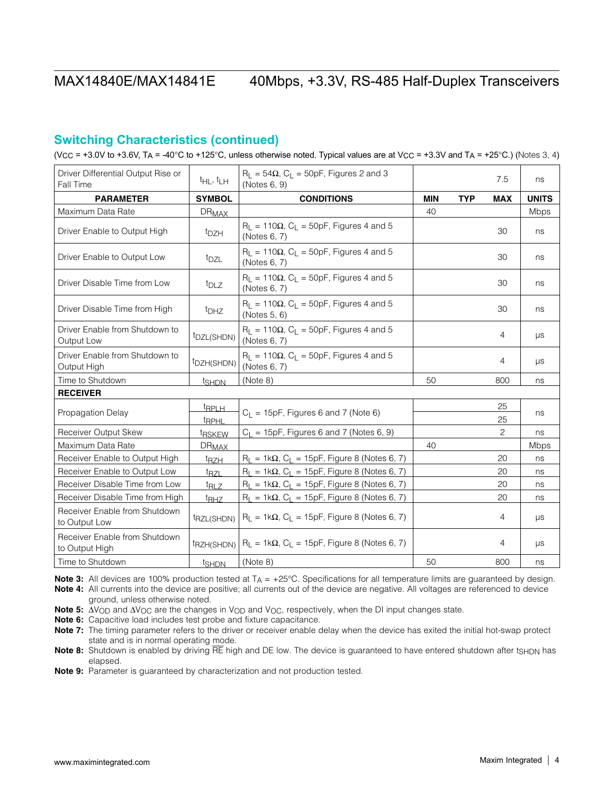## **Switching Characteristics (continued)**

(VCC = +3.0V to +3.6V, TA = -40°C to +125°C, unless otherwise noted. Typical values are at VcC = +3.3V and TA = +25°C.) (Notes 3, 4)

| Driver Differential Output Rise or<br>Fall Time | $t_{HL}$ , $t_{LH}$               | $R_L = 54\Omega$ , $C_L = 50pF$ , Figures 2 and 3<br>(Notes 6, 9)             |            |            | 7.5            | ns           |
|-------------------------------------------------|-----------------------------------|-------------------------------------------------------------------------------|------------|------------|----------------|--------------|
| <b>PARAMETER</b>                                | <b>SYMBOL</b>                     | <b>CONDITIONS</b>                                                             | <b>MIN</b> | <b>TYP</b> | <b>MAX</b>     | <b>UNITS</b> |
| Maximum Data Rate                               | <b>DR<sub>MAX</sub></b>           |                                                                               | 40         |            |                | Mbps         |
| Driver Enable to Output High                    | <sup>t</sup> DZH                  | $R_1 = 110\Omega$ , C <sub>1</sub> = 50pF, Figures 4 and 5<br>(Notes 6, 7)    |            |            | 30             | ns           |
| Driver Enable to Output Low                     | t <sub>DZL</sub>                  | $R_L = 110\Omega$ , C <sub>L</sub> = 50pF, Figures 4 and 5<br>(Notes 6, 7)    |            |            | 30             | ns           |
| Driver Disable Time from Low                    | t <sub>DLZ</sub>                  | $R_L$ = 110 $\Omega$ , C <sub>L</sub> = 50pF, Figures 4 and 5<br>(Notes 6, 7) |            |            | 30             | ns           |
| Driver Disable Time from High                   | <sup>t</sup> DHZ                  | $R_L$ = 110 $\Omega$ , C <sub>L</sub> = 50pF, Figures 4 and 5<br>(Notes 5, 6) |            |            | 30             | ns           |
| Driver Enable from Shutdown to<br>Output Low    | <sup>t</sup> DZL(SHDN)            | $R_L$ = 110 $\Omega$ , C <sub>L</sub> = 50pF, Figures 4 and 5<br>(Notes 6, 7) |            |            | 4              | $\mu s$      |
| Driver Enable from Shutdown to<br>Output High   | <sup>t</sup> DZH(SHDN)            | $R_L$ = 110 $\Omega$ , C <sub>L</sub> = 50pF, Figures 4 and 5<br>(Notes 6, 7) |            |            | 4              | $\mu s$      |
| Time to Shutdown                                | t <sub>SHDN</sub>                 | (Note 8)                                                                      | 50         |            | 800            | ns           |
| <b>RECEIVER</b>                                 |                                   |                                                                               |            |            |                |              |
| Propagation Delay                               | <u>trplh</u><br><sup>t</sup> RPHL | $C_L$ = 15pF, Figures 6 and 7 (Note 6)                                        |            |            | 25<br>25       | ns           |
| Receiver Output Skew                            | <sup>t</sup> RSKEW                | $C_1 = 15pF$ , Figures 6 and 7 (Notes 6, 9)                                   |            |            | $\overline{c}$ | ns           |
| Maximum Data Rate                               | <b>DR<sub>MAX</sub></b>           |                                                                               | 40         |            |                | Mbps         |
| Receiver Enable to Output High                  | $t_{RZH}$                         | $R_1 = 1k\Omega$ , C <sub>1</sub> = 15pF, Figure 8 (Notes 6, 7)               |            |            | 20             | ns           |
| Receiver Enable to Output Low                   | t <sub>RZL</sub>                  | $R_L = 1k\Omega$ , $C_L = 15pF$ , Figure 8 (Notes 6, 7)                       |            |            | 20             | ns           |
| Receiver Disable Time from Low                  | <sup>t</sup> RLZ                  | $R_L = 1k\Omega$ , $C_L = 15pF$ , Figure 8 (Notes 6, 7)                       |            |            | 20             | ns           |
| Receiver Disable Time from High                 | $t_{\text{RHZ}}$                  | $R_L = 1k\Omega$ , $C_L = 15pF$ , Figure 8 (Notes 6, 7)                       |            |            | 20             | ns           |
| Receiver Enable from Shutdown<br>to Output Low  | t <sub>RZL(SHDN)</sub>            | $R_{L} = 1k\Omega$ , C <sub>L</sub> = 15pF, Figure 8 (Notes 6, 7)             |            |            | 4              | $\mu s$      |
| Receiver Enable from Shutdown<br>to Output High | t <sub>RZH(SHDN)</sub>            | $R_{L} = 1k\Omega$ , C <sub>L</sub> = 15pF, Figure 8 (Notes 6, 7)             |            |            | 4              | $\mu s$      |
| Time to Shutdown                                | <u>tshDN</u>                      | (Note 8)                                                                      | 50         |            | 800            | ns           |

**Note 3:** All devices are 100% production tested at  $T_A = +25^\circ$ C. Specifications for all temperature limits are guaranteed by design.

Note 4: All currents into the device are positive; all currents out of the device are negative. All voltages are referenced to device ground, unless otherwise noted.

Note 5:  $\Delta V_{\text{OD}}$  and  $\Delta V_{\text{OC}}$  are the changes in V<sub>OD</sub> and V<sub>OC</sub>, respectively, when the DI input changes state.

Note 6: Capacitive load includes test probe and fixture capacitance.

Note 7: The timing parameter refers to the driver or receiver enable delay when the device has exited the initial hot-swap protect state and is in normal operating mode.

Note 8: Shutdown is enabled by driving RE high and DE low. The device is guaranteed to have entered shutdown after tsHDN has elapsed.

Note 9: Parameter is guaranteed by characterization and not production tested.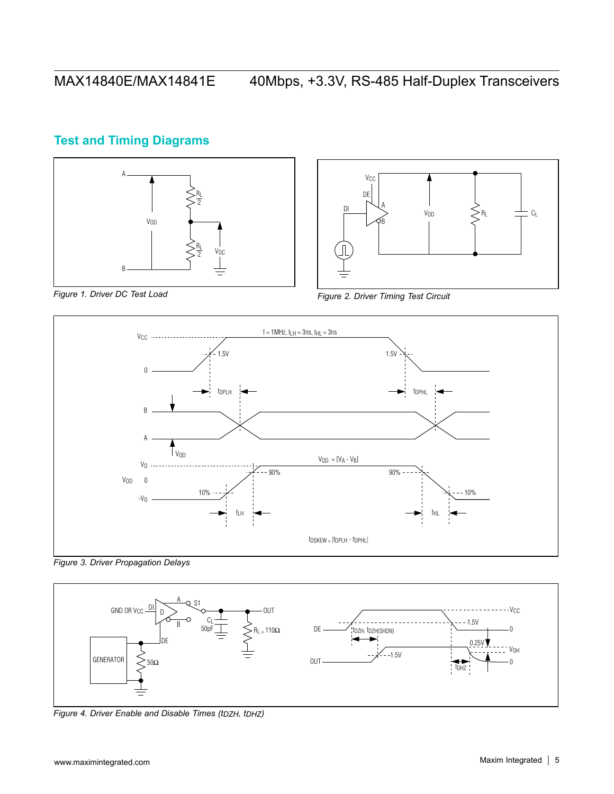# **Test and Timing Diagrams**





*Figure 1. Driver DC Test Load Figure 2. Driver Timing Test Circuit*



*Figure 3. Driver Propagation Delays*



*Figure 4. Driver Enable and Disable Times (tDZH, tDHZ)*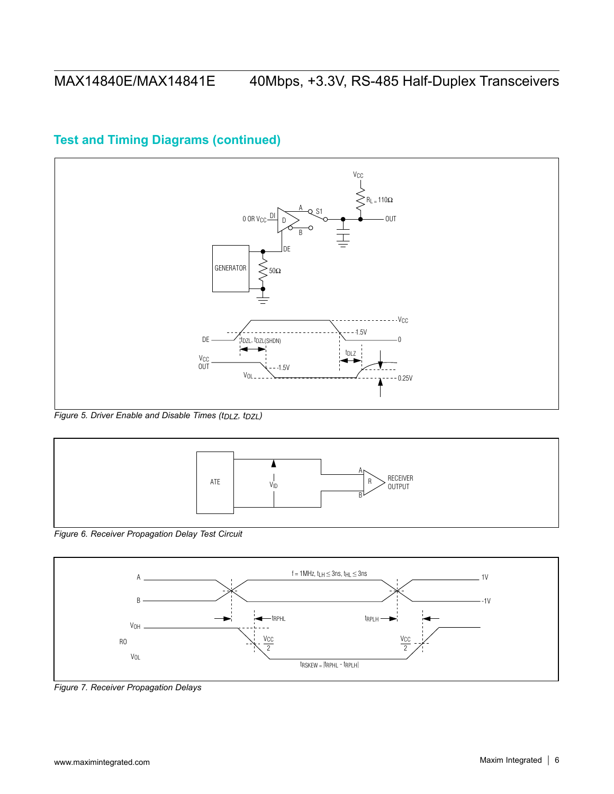### **V<sub>CC</sub>**  $R_L = 110\Omega$  $\frac{\mathsf{A}}{\mathsf{Q}}$  S1  $0$  OR  $V_{CC}$  DI OUT B  $\top$ DE  $\left\langle \right\rangle$ GENERATOR  $50\Omega$  $- -V_{CC}$  $- - 1.5V$ DE tDZL, tDZL(SHDN)  $\theta$ ◀ t<sub>DLZ</sub> V<sub>CC</sub><br>OUT  $-1.5V$ V<sub>OL</sub>  $-0.25V$

# **Test and Timing Diagrams (continued)**

*Figure 5. Driver Enable and Disable Times (tDLZ, tDZL)*



*Figure 6. Receiver Propagation Delay Test Circuit*



*Figure 7. Receiver Propagation Delays*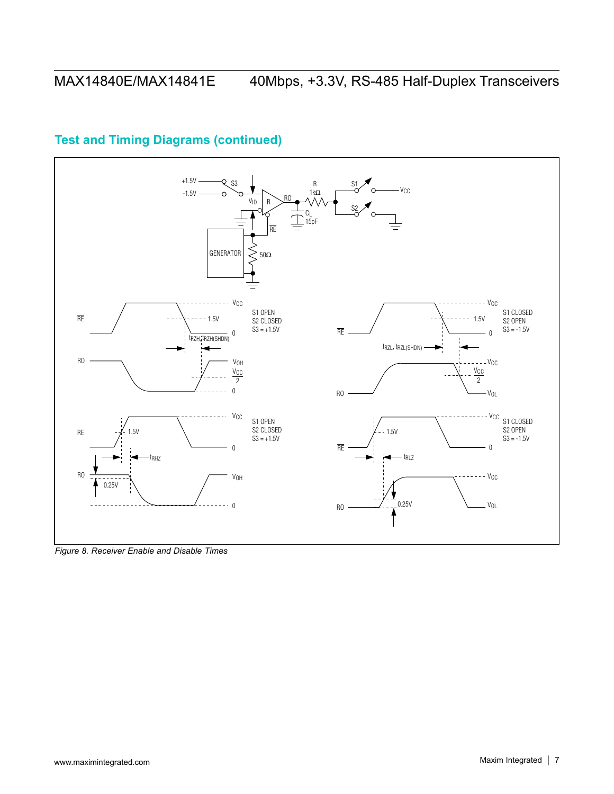

# **Test and Timing Diagrams (continued)**

*Figure 8. Receiver Enable and Disable Times*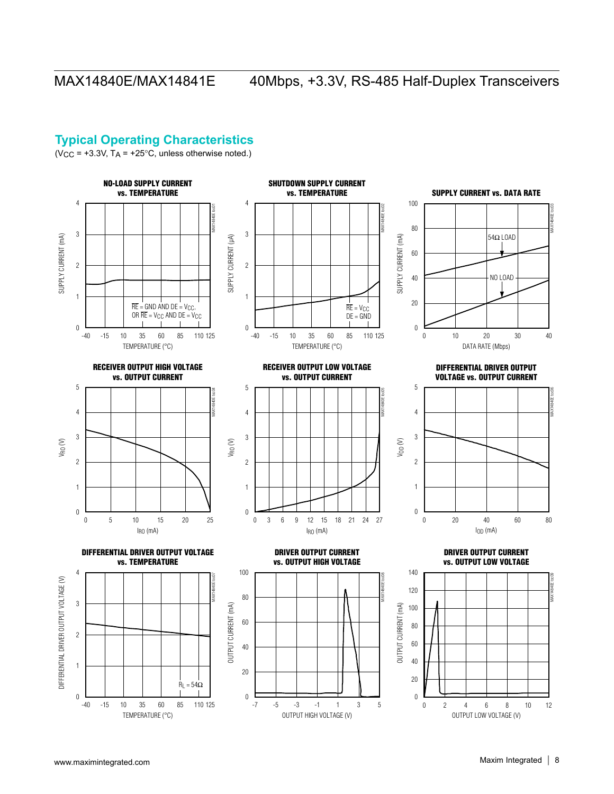## <span id="page-7-0"></span>**Typical Operating Characteristics**

(V<sub>CC</sub> =  $+3.3V$ , T<sub>A</sub> =  $+25^{\circ}$ C, unless otherwise noted.)

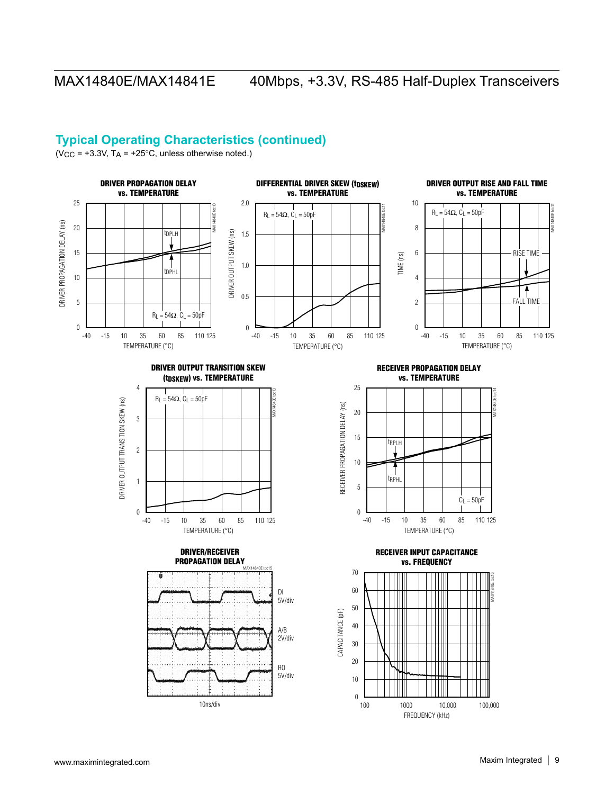## **Typical Operating Characteristics (continued)**

(V<sub>CC</sub> =  $+3.3V$ , T<sub>A</sub> =  $+25^{\circ}$ C, unless otherwise noted.)

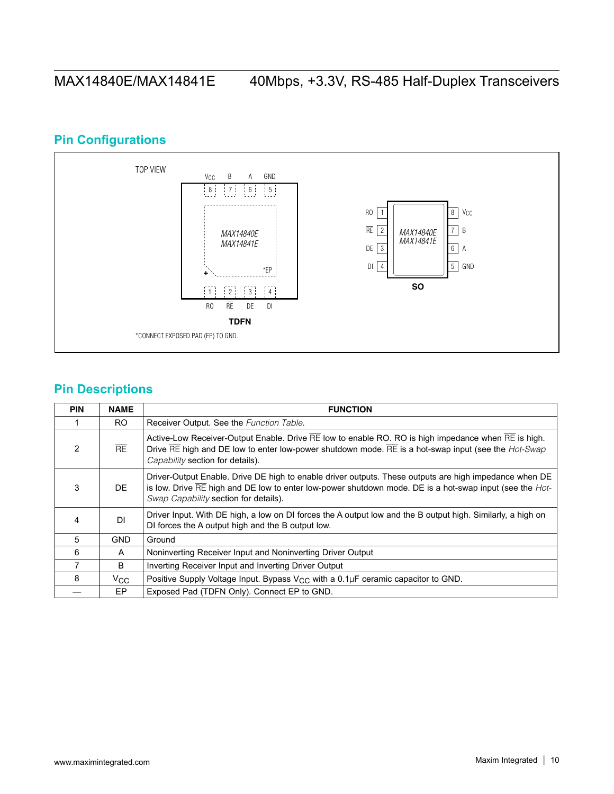# **Pin Configurations**



## **Pin Descriptions**

| <b>PIN</b>    | <b>NAME</b>  | <b>FUNCTION</b>                                                                                                                                                                                                                                                                                           |
|---------------|--------------|-----------------------------------------------------------------------------------------------------------------------------------------------------------------------------------------------------------------------------------------------------------------------------------------------------------|
|               | RO.          | Receiver Output. See the Function Table.                                                                                                                                                                                                                                                                  |
| $\mathcal{P}$ | RE           | Active-Low Receiver-Output Enable. Drive $\overline{RE}$ low to enable RO. RO is high impedance when $\overline{RE}$ is high.<br>Drive $\overline{RE}$ high and DE low to enter low-power shutdown mode. $\overline{RE}$ is a hot-swap input (see the <i>Hot-Swap</i><br>Capability section for details). |
| 3             | DE.          | Driver-Output Enable. Drive DE high to enable driver outputs. These outputs are high impedance when DE<br>is low. Drive $\overline{RE}$ high and DE low to enter low-power shutdown mode. DE is a hot-swap input (see the <i>Hot</i> -<br>Swap Capability section for details).                           |
| 4             | DI           | Driver Input. With DE high, a low on DI forces the A output low and the B output high. Similarly, a high on<br>DI forces the A output high and the B output low.                                                                                                                                          |
| 5             | <b>GND</b>   | Ground                                                                                                                                                                                                                                                                                                    |
| 6             | A            | Noninverting Receiver Input and Noninverting Driver Output                                                                                                                                                                                                                                                |
| 7             | B.           | Inverting Receiver Input and Inverting Driver Output                                                                                                                                                                                                                                                      |
| 8             | $V_{\rm CC}$ | Positive Supply Voltage Input. Bypass $V_{CC}$ with a 0.1µF ceramic capacitor to GND.                                                                                                                                                                                                                     |
|               | EP.          | Exposed Pad (TDFN Only). Connect EP to GND.                                                                                                                                                                                                                                                               |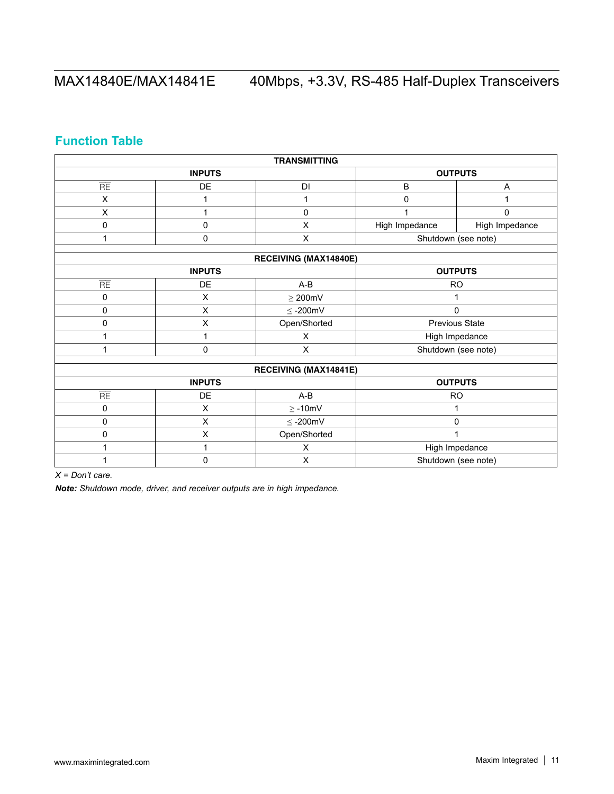# **Function Table**

| <b>TRANSMITTING</b> |                |                       |                |                     |  |  |
|---------------------|----------------|-----------------------|----------------|---------------------|--|--|
|                     | <b>INPUTS</b>  |                       |                | <b>OUTPUTS</b>      |  |  |
| $\overline{RE}$     | DE             | <b>DI</b>             | B              | Α                   |  |  |
| X                   | 1              | 1                     | $\mathbf 0$    |                     |  |  |
| X                   | 1              | 0                     | 1              | $\mathsf 0$         |  |  |
| 0                   | 0              | X                     | High Impedance | High Impedance      |  |  |
| 1                   | 0              | X                     |                | Shutdown (see note) |  |  |
|                     |                | RECEIVING (MAX14840E) |                |                     |  |  |
|                     |                |                       |                |                     |  |  |
|                     | <b>INPUTS</b>  |                       |                | <b>OUTPUTS</b>      |  |  |
| RE                  | DE             | $A-B$                 |                | <b>RO</b>           |  |  |
| 0                   | $\mathsf X$    | $\geq$ 200mV          | 1              |                     |  |  |
| 0                   | X              | $\leq$ -200mV         |                | 0                   |  |  |
| 0                   | X              | Open/Shorted          |                | Previous State      |  |  |
|                     | 1              | X                     |                | High Impedance      |  |  |
|                     | 0              | X                     |                | Shutdown (see note) |  |  |
|                     |                |                       |                |                     |  |  |
|                     |                | RECEIVING (MAX14841E) |                |                     |  |  |
|                     | <b>INPUTS</b>  |                       |                | <b>OUTPUTS</b>      |  |  |
| RE                  | DE             | A-B                   | <b>RO</b>      |                     |  |  |
| 0                   | X              | $\geq$ -10mV          |                |                     |  |  |
| 0                   | $\pmb{\times}$ | $\leq$ -200mV         | 0              |                     |  |  |
| 0                   | X              | Open/Shorted          | 1              |                     |  |  |
|                     | 1              | X                     |                | High Impedance      |  |  |
|                     | 0              | X                     |                | Shutdown (see note) |  |  |

*X = Don't care.*

*Note: Shutdown mode, driver, and receiver outputs are in high impedance.*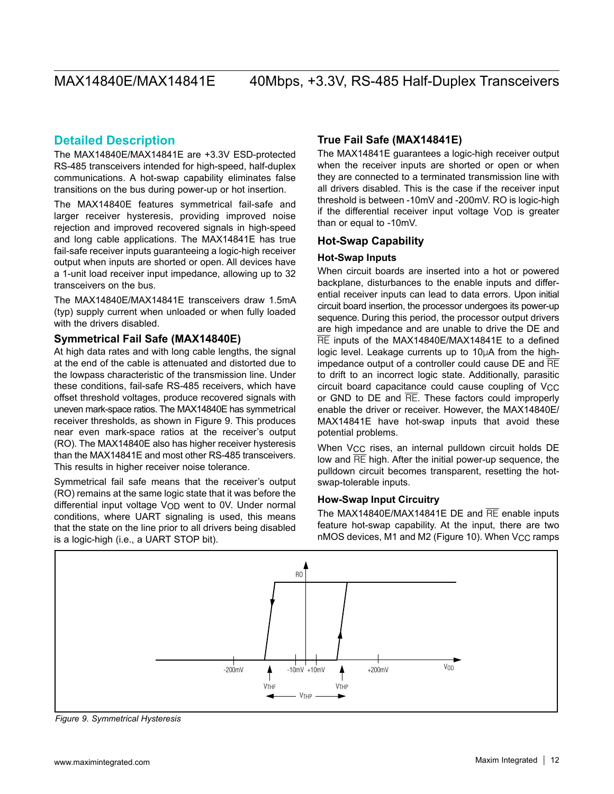## **Detailed Description**

The MAX14840E/MAX14841E are +3.3V ESD-protected RS-485 transceivers intended for high-speed, half-duplex communications. A hot-swap capability eliminates false transitions on the bus during power-up or hot insertion.

The MAX14840E features symmetrical fail-safe and larger receiver hysteresis, providing improved noise rejection and improved recovered signals in high-speed and long cable applications. The MAX14841E has true fail-safe receiver inputs guaranteeing a logic-high receiver output when inputs are shorted or open. All devices have a 1-unit load receiver input impedance, allowing up to 32 transceivers on the bus.

The MAX14840E/MAX14841E transceivers draw 1.5mA (typ) supply current when unloaded or when fully loaded with the drivers disabled.

### **Symmetrical Fail Safe (MAX14840E)**

At high data rates and with long cable lengths, the signal at the end of the cable is attenuated and distorted due to the lowpass characteristic of the transmission line. Under these conditions, fail-safe RS-485 receivers, which have offset threshold voltages, produce recovered signals with uneven mark-space ratios. The MAX14840E has symmetrical receiver thresholds, as shown in Figure 9. This produces near even mark-space ratios at the receiver's output (RO). The MAX14840E also has higher receiver hysteresis than the MAX14841E and most other RS-485 transceivers. This results in higher receiver noise tolerance.

Symmetrical fail safe means that the receiver's output (RO) remains at the same logic state that it was before the differential input voltage V<sub>OD</sub> went to 0V. Under normal conditions, where UART signaling is used, this means that the state on the line prior to all drivers being disabled is a logic-high (i.e., a UART STOP bit).

### **True Fail Safe (MAX14841E)**

The MAX14841E guarantees a logic-high receiver output when the receiver inputs are shorted or open or when they are connected to a terminated transmission line with all drivers disabled. This is the case if the receiver input threshold is between -10mV and -200mV. RO is logic-high if the differential receiver input voltage VOD is greater than or equal to -10mV.

### **Hot-Swap Capability**

### **Hot-Swap Inputs**

When circuit boards are inserted into a hot or powered backplane, disturbances to the enable inputs and differential receiver inputs can lead to data errors. Upon initial circuit board insertion, the processor undergoes its power-up sequence. During this period, the processor output drivers are high impedance and are unable to drive the DE and RE inputs of the MAX14840E/MAX14841E to a defined logic level. Leakage currents up to 10µA from the highimpedance output of a controller could cause DE and RE to drift to an incorrect logic state. Additionally, parasitic circuit board capacitance could cause coupling of V<sub>CC</sub> or GND to  $DE$  and  $\overline{RE}$ . These factors could improperly enable the driver or receiver. However, the MAX14840E/ MAX14841E have hot-swap inputs that avoid these potential problems.

When V<sub>CC</sub> rises, an internal pulldown circuit holds DE low and RE high. After the initial power-up sequence, the pulldown circuit becomes transparent, resetting the hotswap-tolerable inputs.

### **How-Swap Input Circuitry**

The MAX14840E/MAX14841E DE and RE enable inputs feature hot-swap capability. At the input, there are two nMOS devices, M1 and M2 (Figure 10). When V<sub>CC</sub> ramps



*Figure 9. Symmetrical Hysteresis*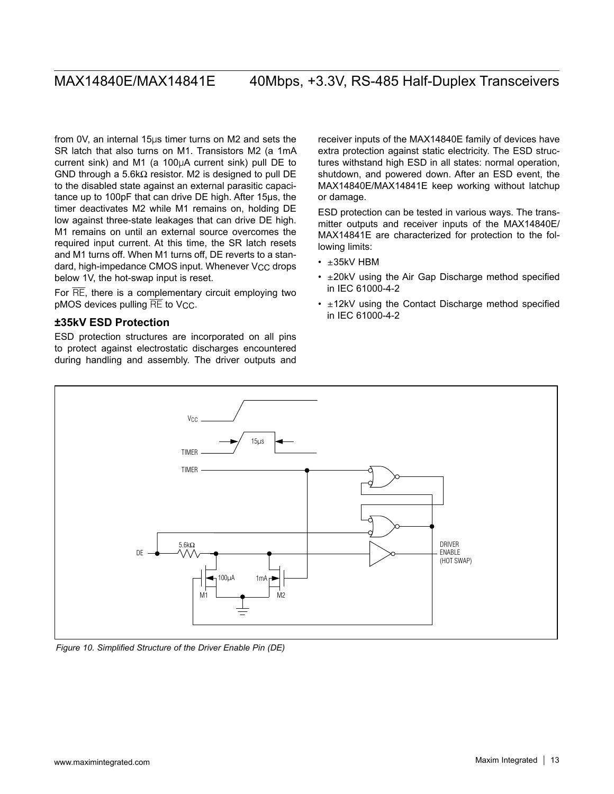from 0V, an internal  $15\mu s$  timer turns on M2 and sets the SR latch that also turns on M1. Transistors M2 (a 1mA current sink) and M1 (a  $100\mu A$  current sink) pull DE to GND through a 5.6k $\Omega$  resistor. M2 is designed to pull DE to the disabled state against an external parasitic capacitance up to 100pF that can drive DE high. After 15µs, the timer deactivates M2 while M1 remains on, holding DE low against three-state leakages that can drive DE high. M1 remains on until an external source overcomes the required input current. At this time, the SR latch resets and M1 turns off. When M1 turns off, DE reverts to a standard, high-impedance CMOS input. Whenever V<sub>CC</sub> drops below 1V, the hot-swap input is reset.

For  $\overline{\text{RE}}$ , there is a complementary circuit employing two pMOS devices pulling  $\overline{RE}$  to V<sub>CC</sub>.

### **±35kV ESD Protection**

ESD protection structures are incorporated on all pins to protect against electrostatic discharges encountered during handling and assembly. The driver outputs and

receiver inputs of the MAX14840E family of devices have extra protection against static electricity. The ESD structures withstand high ESD in all states: normal operation, shutdown, and powered down. After an ESD event, the MAX14840E/MAX14841E keep working without latchup or damage.

ESD protection can be tested in various ways. The transmitter outputs and receiver inputs of the MAX14840E/ MAX14841E are characterized for protection to the following limits:

- $\cdot$   $\pm$ 35kV HBM
- $\cdot$   $\pm$  20kV using the Air Gap Discharge method specified in IEC 61000-4-2
- $\cdot$   $\pm$ 12kV using the Contact Discharge method specified in IEC 61000-4-2



*Figure 10. Simplified Structure of the Driver Enable Pin (DE)*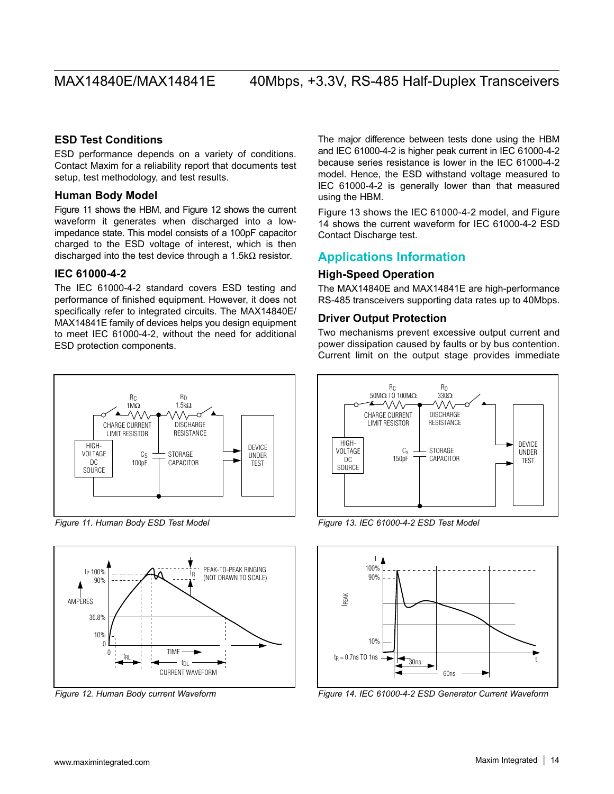### **ESD Test Conditions**

ESD performance depends on a variety of conditions. Contact Maxim for a reliability report that documents test setup, test methodology, and test results.

### **Human Body Model**

Figure 11 shows the HBM, and Figure 12 shows the current waveform it generates when discharged into a lowimpedance state. This model consists of a 100pF capacitor charged to the ESD voltage of interest, which is then discharged into the test device through a 1.5k $\Omega$  resistor.

### **IEC 61000-4-2**

The IEC 61000-4-2 standard covers ESD testing and performance of finished equipment. However, it does not specifically refer to integrated circuits. The MAX14840E/ MAX14841E family of devices helps you design equipment to meet IEC 61000-4-2, without the need for additional ESD protection components.



*Figure 11. Human Body ESD Test Model*



*Figure 12. Human Body current Waveform*

The major difference between tests done using the HBM and IEC 61000-4-2 is higher peak current in IEC 61000-4-2 because series resistance is lower in the IEC 61000-4-2 model. Hence, the ESD withstand voltage measured to IEC 61000-4-2 is generally lower than that measured using the HBM.

Figure 13 shows the IEC 61000-4-2 model, and Figure 14 shows the current waveform for IEC 61000-4-2 ESD Contact Discharge test.

### **Applications Information**

### **High-Speed Operation**

The MAX14840E and MAX14841E are high-performance RS-485 transceivers supporting data rates up to 40Mbps.

### **Driver Output Protection**

Two mechanisms prevent excessive output current and power dissipation caused by faults or by bus contention. Current limit on the output stage provides immediate



*Figure 13. IEC 61000-4-2 ESD Test Model*



*Figure 14. IEC 61000-4-2 ESD Generator Current Waveform*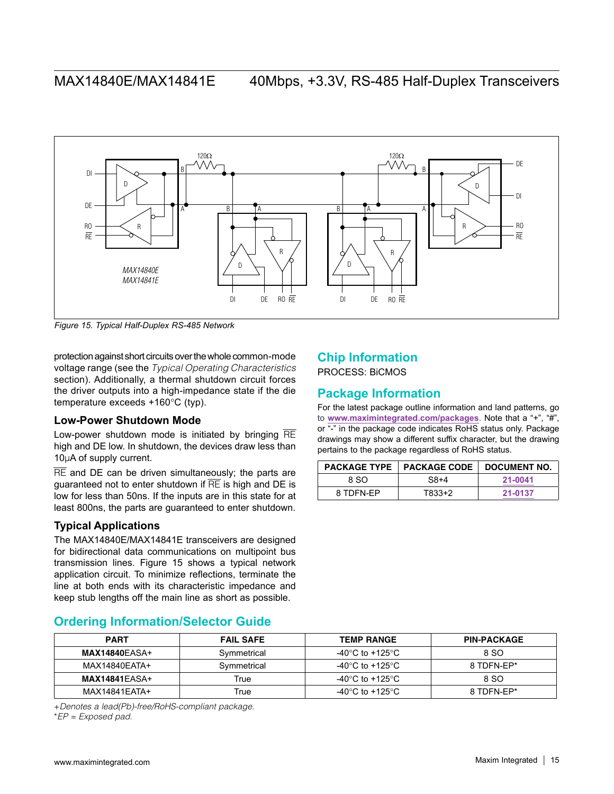

*Figure 15. Typical Half-Duplex RS-485 Network*

protection against short circuits over the whole common-mode voltage range (see the *[Typical Operating Characteristics](#page-7-0)* section). Additionally, a thermal shutdown circuit forces the driver outputs into a high-impedance state if the die temperature exceeds  $+160^{\circ}C$  (typ).

### **Low-Power Shutdown Mode**

Low-power shutdown mode is initiated by bringing  $\overline{RE}$ high and DE low. In shutdown, the devices draw less than  $10\mu$ A of supply current.

 $\overline{\text{RE}}$  and DE can be driven simultaneously; the parts are guaranteed not to enter shutdown if  $\overline{RE}$  is high and DE is low for less than 50ns. If the inputs are in this state for at least 800ns, the parts are guaranteed to enter shutdown.

### **Typical Applications**

The MAX14840E/MAX14841E transceivers are designed for bidirectional data communications on multipoint bus transmission lines. Figure 15 shows a typical network application circuit. To minimize reflections, terminate the line at both ends with its characteristic impedance and keep stub lengths off the main line as short as possible.

## **Chip Information**

PROCESS: BiCMOS

## **Package Information**

For the latest package outline information and land patterns, go to **<www.maximintegrated.com/packages>**. Note that a "+", "#", or "-" in the package code indicates RoHS status only. Package drawings may show a different suffix character, but the drawing pertains to the package regardless of RoHS status.

|           | <b>PACKAGE TYPE   PACKAGE CODE</b> | DOCUMENT NO. |
|-----------|------------------------------------|--------------|
| 8 SO      | $S8+4$                             | 21-0041      |
| 8 TDFN-EP | T833+2                             | 21-0137      |

## <span id="page-14-0"></span>**Ordering Information/Selector Guide**

| <b>PART</b>          | <b>FAIL SAFE</b> | <b>TEMP RANGE</b> | <b>PIN-PACKAGE</b> |
|----------------------|------------------|-------------------|--------------------|
| <b>MAX14840EASA+</b> | Symmetrical      | -40°C to +125°C.  | 8 SO               |
| MAX14840EATA+        | Symmetrical      | -40°C to +125°C.  | 8 TDFN-EP*         |
| <b>MAX14841EASA+</b> | True             | -40°C to +125°C.  | 8 SO               |
| MAX14841EATA+        | True             | -40°C to +125°C   | 8 TDFN-EP*         |

+*Denotes a lead(Pb)-free/RoHS-compliant package.*

\**EP = Exposed pad.*